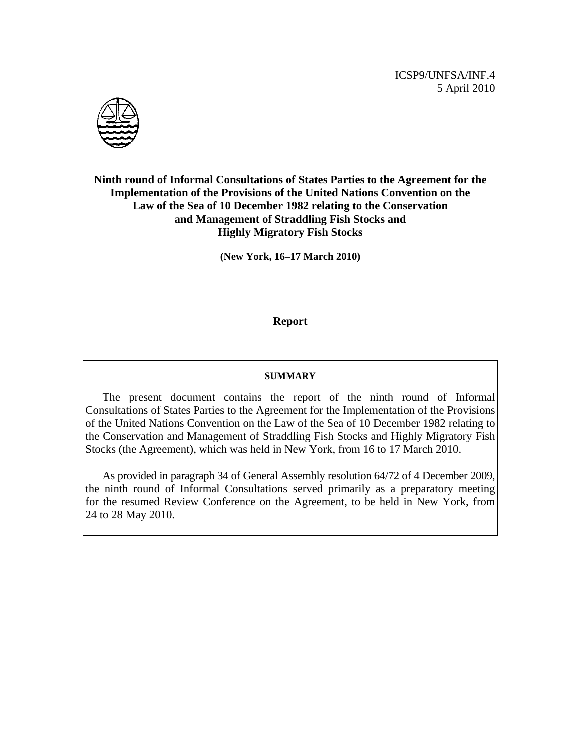ICSP9/UNFSA/INF.4 5 April 2010



### **Ninth round of Informal Consultations of States Parties to the Agreement for the Implementation of the Provisions of the United Nations Convention on the Law of the Sea of 10 December 1982 relating to the Conservation and Management of Straddling Fish Stocks and Highly Migratory Fish Stocks**

**(New York, 16–17 March 2010)** 

#### **Report**

#### **SUMMARY**

 The present document contains the report of the ninth round of Informal Consultations of States Parties to the Agreement for the Implementation of the Provisions of the United Nations Convention on the Law of the Sea of 10 December 1982 relating to the Conservation and Management of Straddling Fish Stocks and Highly Migratory Fish Stocks (the Agreement), which was held in New York, from 16 to 17 March 2010.

 As provided in paragraph 34 of General Assembly resolution 64/72 of 4 December 2009, the ninth round of Informal Consultations served primarily as a preparatory meeting for the resumed Review Conference on the Agreement, to be held in New York, from 24 to 28 May 2010.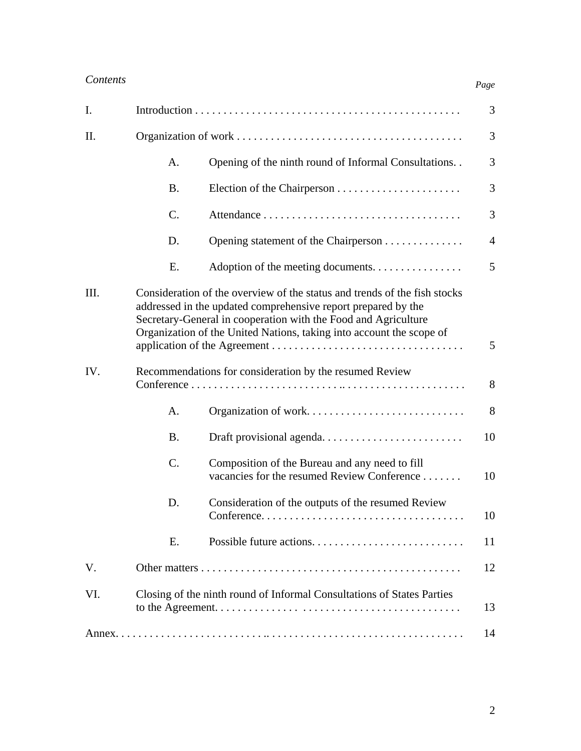| I.   |                                                                                                                                                                                                                                                                                           |                                                                                               | 3              |
|------|-------------------------------------------------------------------------------------------------------------------------------------------------------------------------------------------------------------------------------------------------------------------------------------------|-----------------------------------------------------------------------------------------------|----------------|
| II.  |                                                                                                                                                                                                                                                                                           |                                                                                               | 3              |
|      | A.                                                                                                                                                                                                                                                                                        | Opening of the ninth round of Informal Consultations                                          | 3              |
|      | <b>B.</b>                                                                                                                                                                                                                                                                                 |                                                                                               | 3              |
|      | $C$ .                                                                                                                                                                                                                                                                                     |                                                                                               | 3              |
|      | D.                                                                                                                                                                                                                                                                                        | Opening statement of the Chairperson                                                          | $\overline{4}$ |
|      | Ε.                                                                                                                                                                                                                                                                                        | Adoption of the meeting documents.                                                            | 5              |
| III. | Consideration of the overview of the status and trends of the fish stocks<br>addressed in the updated comprehensive report prepared by the<br>Secretary-General in cooperation with the Food and Agriculture<br>Organization of the United Nations, taking into account the scope of<br>5 |                                                                                               |                |
| IV.  | Recommendations for consideration by the resumed Review<br>8                                                                                                                                                                                                                              |                                                                                               |                |
|      | A.                                                                                                                                                                                                                                                                                        | Organization of work                                                                          | 8              |
|      | <b>B.</b>                                                                                                                                                                                                                                                                                 | Draft provisional agenda                                                                      | 10             |
|      | $C$ .                                                                                                                                                                                                                                                                                     | Composition of the Bureau and any need to fill<br>vacancies for the resumed Review Conference | 10             |
|      | D.                                                                                                                                                                                                                                                                                        | Consideration of the outputs of the resumed Review                                            | 10             |
|      | Ε.                                                                                                                                                                                                                                                                                        | Possible future actions                                                                       | 11             |
| V.   |                                                                                                                                                                                                                                                                                           |                                                                                               | 12             |
| VI.  | Closing of the ninth round of Informal Consultations of States Parties<br>13                                                                                                                                                                                                              |                                                                                               |                |
|      |                                                                                                                                                                                                                                                                                           |                                                                                               | 14             |

*Page*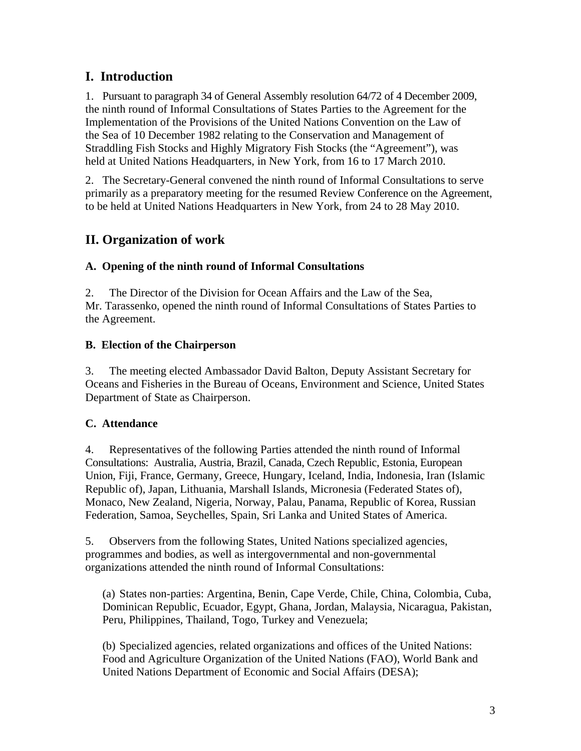# **I. Introduction**

1. Pursuant to paragraph 34 of General Assembly resolution 64/72 of 4 December 2009, the ninth round of Informal Consultations of States Parties to the Agreement for the Implementation of the Provisions of the United Nations Convention on the Law of the Sea of 10 December 1982 relating to the Conservation and Management of Straddling Fish Stocks and Highly Migratory Fish Stocks (the "Agreement"), was held at United Nations Headquarters, in New York, from 16 to 17 March 2010.

2. The Secretary-General convened the ninth round of Informal Consultations to serve primarily as a preparatory meeting for the resumed Review Conference on the Agreement, to be held at United Nations Headquarters in New York, from 24 to 28 May 2010.

# **II. Organization of work**

### **A. Opening of the ninth round of Informal Consultations**

2. The Director of the Division for Ocean Affairs and the Law of the Sea, Mr. Tarassenko, opened the ninth round of Informal Consultations of States Parties to the Agreement.

### **B. Election of the Chairperson**

3. The meeting elected Ambassador David Balton, Deputy Assistant Secretary for Oceans and Fisheries in the Bureau of Oceans, Environment and Science, United States Department of State as Chairperson.

### **C. Attendance**

4. Representatives of the following Parties attended the ninth round of Informal Consultations: Australia, Austria, Brazil, Canada, Czech Republic, Estonia, European Union, Fiji, France, Germany, Greece, Hungary, Iceland, India, Indonesia, Iran (Islamic Republic of), Japan, Lithuania, Marshall Islands, Micronesia (Federated States of), Monaco, New Zealand, Nigeria, Norway, Palau, Panama, Republic of Korea, Russian Federation, Samoa, Seychelles, Spain, Sri Lanka and United States of America.

5. Observers from the following States, United Nations specialized agencies, programmes and bodies, as well as intergovernmental and non-governmental organizations attended the ninth round of Informal Consultations:

(a) States non-parties: Argentina, Benin, Cape Verde, Chile, China, Colombia, Cuba, Dominican Republic, Ecuador, Egypt, Ghana, Jordan, Malaysia, Nicaragua, Pakistan, Peru, Philippines, Thailand, Togo, Turkey and Venezuela;

(b) Specialized agencies, related organizations and offices of the United Nations: Food and Agriculture Organization of the United Nations (FAO), World Bank and United Nations Department of Economic and Social Affairs (DESA);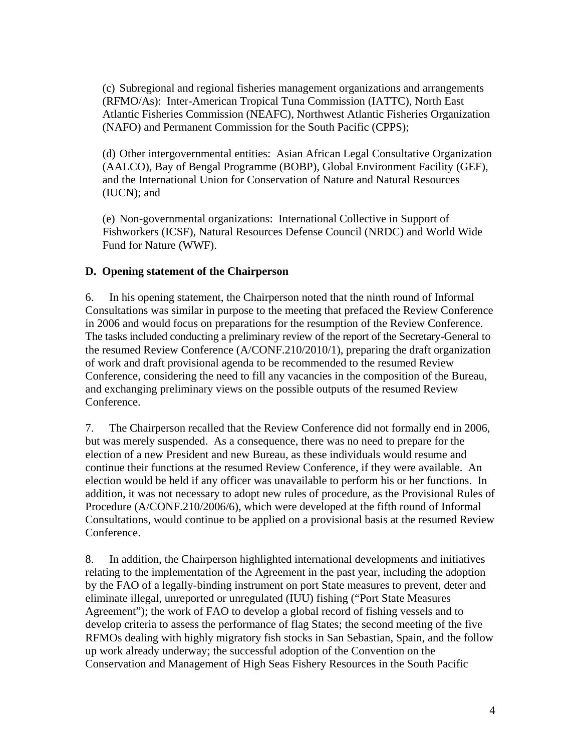(c) Subregional and regional fisheries management organizations and arrangements (RFMO/As): Inter-American Tropical Tuna Commission (IATTC), North East Atlantic Fisheries Commission (NEAFC), Northwest Atlantic Fisheries Organization (NAFO) and Permanent Commission for the South Pacific (CPPS);

(d) Other intergovernmental entities: Asian African Legal Consultative Organization (AALCO), Bay of Bengal Programme (BOBP), Global Environment Facility (GEF), and the International Union for Conservation of Nature and Natural Resources (IUCN); and

(e) Non-governmental organizations: International Collective in Support of Fishworkers (ICSF), Natural Resources Defense Council (NRDC) and World Wide Fund for Nature (WWF).

### **D. Opening statement of the Chairperson**

6. In his opening statement, the Chairperson noted that the ninth round of Informal Consultations was similar in purpose to the meeting that prefaced the Review Conference in 2006 and would focus on preparations for the resumption of the Review Conference. The tasks included conducting a preliminary review of the report of the Secretary-General to the resumed Review Conference (A/CONF.210/2010/1), preparing the draft organization of work and draft provisional agenda to be recommended to the resumed Review Conference, considering the need to fill any vacancies in the composition of the Bureau, and exchanging preliminary views on the possible outputs of the resumed Review Conference.

7. The Chairperson recalled that the Review Conference did not formally end in 2006, but was merely suspended. As a consequence, there was no need to prepare for the election of a new President and new Bureau, as these individuals would resume and continue their functions at the resumed Review Conference, if they were available. An election would be held if any officer was unavailable to perform his or her functions. In addition, it was not necessary to adopt new rules of procedure, as the Provisional Rules of Procedure (A/CONF.210/2006/6), which were developed at the fifth round of Informal Consultations, would continue to be applied on a provisional basis at the resumed Review Conference.

8. In addition, the Chairperson highlighted international developments and initiatives relating to the implementation of the Agreement in the past year, including the adoption by the FAO of a legally-binding instrument on port State measures to prevent, deter and eliminate illegal, unreported or unregulated (IUU) fishing ("Port State Measures Agreement"); the work of FAO to develop a global record of fishing vessels and to develop criteria to assess the performance of flag States; the second meeting of the five RFMOs dealing with highly migratory fish stocks in San Sebastian, Spain, and the follow up work already underway; the successful adoption of the Convention on the Conservation and Management of High Seas Fishery Resources in the South Pacific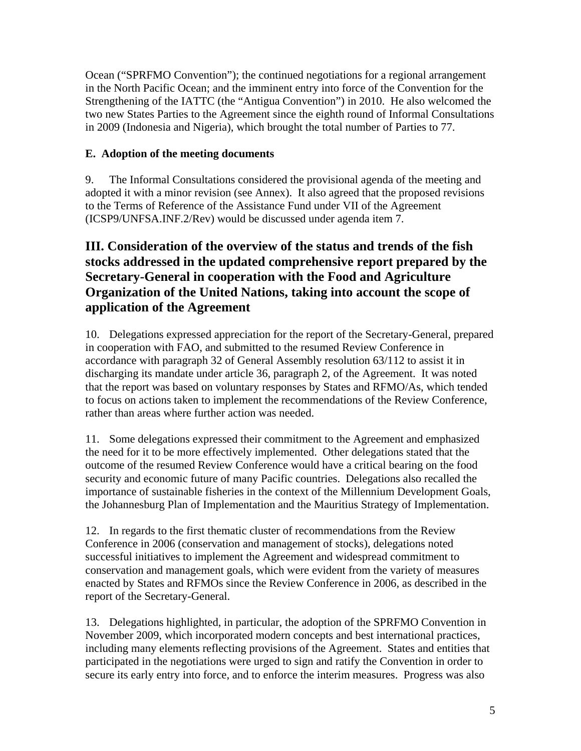Ocean ("SPRFMO Convention"); the continued negotiations for a regional arrangement in the North Pacific Ocean; and the imminent entry into force of the Convention for the Strengthening of the IATTC (the "Antigua Convention") in 2010. He also welcomed the two new States Parties to the Agreement since the eighth round of Informal Consultations in 2009 (Indonesia and Nigeria), which brought the total number of Parties to 77.

### **E. Adoption of the meeting documents**

9. The Informal Consultations considered the provisional agenda of the meeting and adopted it with a minor revision (see Annex). It also agreed that the proposed revisions to the Terms of Reference of the Assistance Fund under VII of the Agreement (ICSP9/UNFSA.INF.2/Rev) would be discussed under agenda item 7.

# **III. Consideration of the overview of the status and trends of the fish stocks addressed in the updated comprehensive report prepared by the Secretary-General in cooperation with the Food and Agriculture Organization of the United Nations, taking into account the scope of application of the Agreement**

10. Delegations expressed appreciation for the report of the Secretary-General, prepared in cooperation with FAO, and submitted to the resumed Review Conference in accordance with paragraph 32 of General Assembly resolution 63/112 to assist it in discharging its mandate under article 36, paragraph 2, of the Agreement. It was noted that the report was based on voluntary responses by States and RFMO/As, which tended to focus on actions taken to implement the recommendations of the Review Conference, rather than areas where further action was needed.

11. Some delegations expressed their commitment to the Agreement and emphasized the need for it to be more effectively implemented. Other delegations stated that the outcome of the resumed Review Conference would have a critical bearing on the food security and economic future of many Pacific countries. Delegations also recalled the importance of sustainable fisheries in the context of the Millennium Development Goals, the Johannesburg Plan of Implementation and the Mauritius Strategy of Implementation.

12. In regards to the first thematic cluster of recommendations from the Review Conference in 2006 (conservation and management of stocks), delegations noted successful initiatives to implement the Agreement and widespread commitment to conservation and management goals, which were evident from the variety of measures enacted by States and RFMOs since the Review Conference in 2006, as described in the report of the Secretary-General.

13. Delegations highlighted, in particular, the adoption of the SPRFMO Convention in November 2009, which incorporated modern concepts and best international practices, including many elements reflecting provisions of the Agreement. States and entities that participated in the negotiations were urged to sign and ratify the Convention in order to secure its early entry into force, and to enforce the interim measures. Progress was also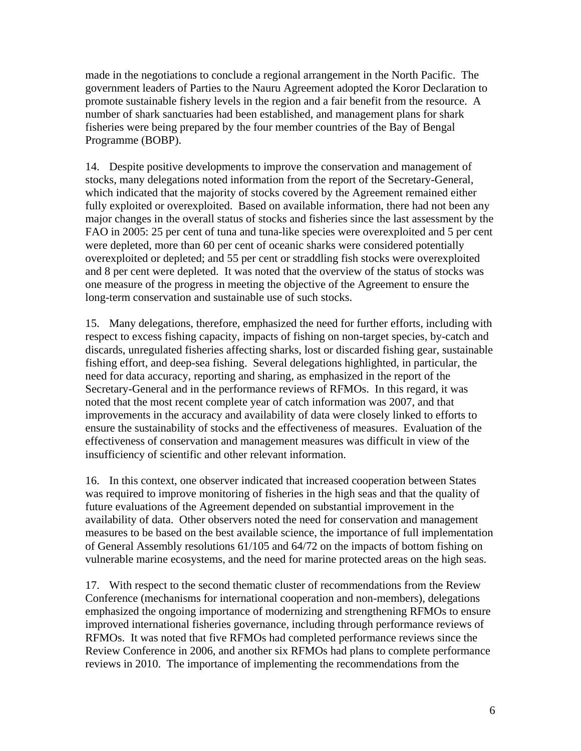made in the negotiations to conclude a regional arrangement in the North Pacific. The government leaders of Parties to the Nauru Agreement adopted the Koror Declaration to promote sustainable fishery levels in the region and a fair benefit from the resource. A number of shark sanctuaries had been established, and management plans for shark fisheries were being prepared by the four member countries of the Bay of Bengal Programme (BOBP).

14. Despite positive developments to improve the conservation and management of stocks, many delegations noted information from the report of the Secretary-General, which indicated that the majority of stocks covered by the Agreement remained either fully exploited or overexploited. Based on available information, there had not been any major changes in the overall status of stocks and fisheries since the last assessment by the FAO in 2005: 25 per cent of tuna and tuna-like species were overexploited and 5 per cent were depleted, more than 60 per cent of oceanic sharks were considered potentially overexploited or depleted; and 55 per cent or straddling fish stocks were overexploited and 8 per cent were depleted. It was noted that the overview of the status of stocks was one measure of the progress in meeting the objective of the Agreement to ensure the long-term conservation and sustainable use of such stocks.

15. Many delegations, therefore, emphasized the need for further efforts, including with respect to excess fishing capacity, impacts of fishing on non-target species, by-catch and discards, unregulated fisheries affecting sharks, lost or discarded fishing gear, sustainable fishing effort, and deep-sea fishing. Several delegations highlighted, in particular, the need for data accuracy, reporting and sharing, as emphasized in the report of the Secretary-General and in the performance reviews of RFMOs. In this regard, it was noted that the most recent complete year of catch information was 2007, and that improvements in the accuracy and availability of data were closely linked to efforts to ensure the sustainability of stocks and the effectiveness of measures. Evaluation of the effectiveness of conservation and management measures was difficult in view of the insufficiency of scientific and other relevant information.

16. In this context, one observer indicated that increased cooperation between States was required to improve monitoring of fisheries in the high seas and that the quality of future evaluations of the Agreement depended on substantial improvement in the availability of data. Other observers noted the need for conservation and management measures to be based on the best available science, the importance of full implementation of General Assembly resolutions 61/105 and 64/72 on the impacts of bottom fishing on vulnerable marine ecosystems, and the need for marine protected areas on the high seas.

17. With respect to the second thematic cluster of recommendations from the Review Conference (mechanisms for international cooperation and non-members), delegations emphasized the ongoing importance of modernizing and strengthening RFMOs to ensure improved international fisheries governance, including through performance reviews of RFMOs. It was noted that five RFMOs had completed performance reviews since the Review Conference in 2006, and another six RFMOs had plans to complete performance reviews in 2010. The importance of implementing the recommendations from the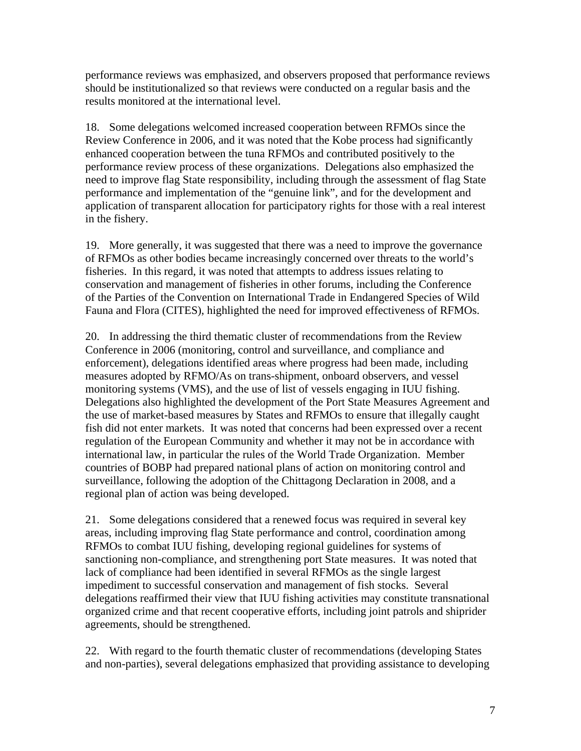performance reviews was emphasized, and observers proposed that performance reviews should be institutionalized so that reviews were conducted on a regular basis and the results monitored at the international level.

18. Some delegations welcomed increased cooperation between RFMOs since the Review Conference in 2006, and it was noted that the Kobe process had significantly enhanced cooperation between the tuna RFMOs and contributed positively to the performance review process of these organizations. Delegations also emphasized the need to improve flag State responsibility, including through the assessment of flag State performance and implementation of the "genuine link", and for the development and application of transparent allocation for participatory rights for those with a real interest in the fishery.

19. More generally, it was suggested that there was a need to improve the governance of RFMOs as other bodies became increasingly concerned over threats to the world's fisheries. In this regard, it was noted that attempts to address issues relating to conservation and management of fisheries in other forums, including the Conference of the Parties of the Convention on International Trade in Endangered Species of Wild Fauna and Flora (CITES), highlighted the need for improved effectiveness of RFMOs.

20. In addressing the third thematic cluster of recommendations from the Review Conference in 2006 (monitoring, control and surveillance, and compliance and enforcement), delegations identified areas where progress had been made, including measures adopted by RFMO/As on trans-shipment, onboard observers, and vessel monitoring systems (VMS), and the use of list of vessels engaging in IUU fishing. Delegations also highlighted the development of the Port State Measures Agreement and the use of market-based measures by States and RFMOs to ensure that illegally caught fish did not enter markets. It was noted that concerns had been expressed over a recent regulation of the European Community and whether it may not be in accordance with international law, in particular the rules of the World Trade Organization. Member countries of BOBP had prepared national plans of action on monitoring control and surveillance, following the adoption of the Chittagong Declaration in 2008, and a regional plan of action was being developed.

21. Some delegations considered that a renewed focus was required in several key areas, including improving flag State performance and control, coordination among RFMOs to combat IUU fishing, developing regional guidelines for systems of sanctioning non-compliance, and strengthening port State measures. It was noted that lack of compliance had been identified in several RFMOs as the single largest impediment to successful conservation and management of fish stocks. Several delegations reaffirmed their view that IUU fishing activities may constitute transnational organized crime and that recent cooperative efforts, including joint patrols and shiprider agreements, should be strengthened.

22. With regard to the fourth thematic cluster of recommendations (developing States and non-parties), several delegations emphasized that providing assistance to developing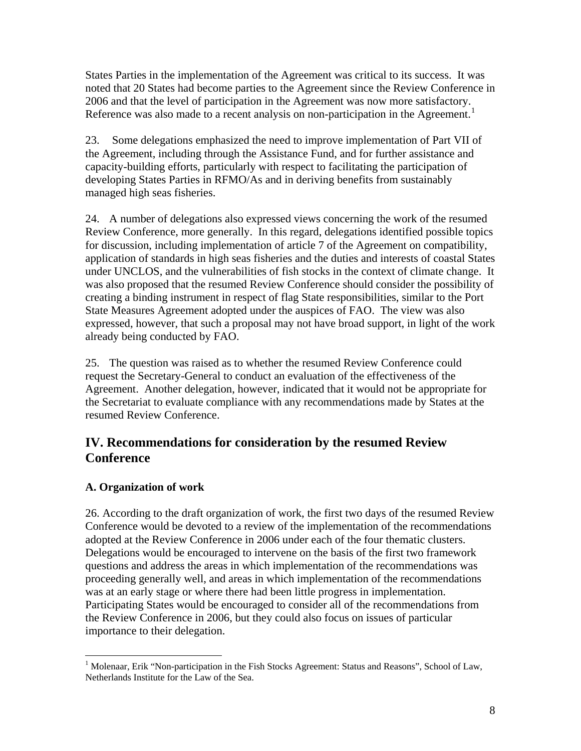States Parties in the implementation of the Agreement was critical to its success. It was noted that 20 States had become parties to the Agreement since the Review Conference in 2006 and that the level of participation in the Agreement was now more satisfactory. Reference was also made to a recent analysis on non-participation in the Agreement.<sup>[1](#page-7-0)</sup>

23. Some delegations emphasized the need to improve implementation of Part VII of the Agreement, including through the Assistance Fund, and for further assistance and capacity-building efforts, particularly with respect to facilitating the participation of developing States Parties in RFMO/As and in deriving benefits from sustainably managed high seas fisheries.

24. A number of delegations also expressed views concerning the work of the resumed Review Conference, more generally. In this regard, delegations identified possible topics for discussion, including implementation of article 7 of the Agreement on compatibility, application of standards in high seas fisheries and the duties and interests of coastal States under UNCLOS, and the vulnerabilities of fish stocks in the context of climate change. It was also proposed that the resumed Review Conference should consider the possibility of creating a binding instrument in respect of flag State responsibilities, similar to the Port State Measures Agreement adopted under the auspices of FAO. The view was also expressed, however, that such a proposal may not have broad support, in light of the work already being conducted by FAO.

25. The question was raised as to whether the resumed Review Conference could request the Secretary-General to conduct an evaluation of the effectiveness of the Agreement. Another delegation, however, indicated that it would not be appropriate for the Secretariat to evaluate compliance with any recommendations made by States at the resumed Review Conference.

### **IV. Recommendations for consideration by the resumed Review Conference**

### **A. Organization of work**

26. According to the draft organization of work, the first two days of the resumed Review Conference would be devoted to a review of the implementation of the recommendations adopted at the Review Conference in 2006 under each of the four thematic clusters. Delegations would be encouraged to intervene on the basis of the first two framework questions and address the areas in which implementation of the recommendations was proceeding generally well, and areas in which implementation of the recommendations was at an early stage or where there had been little progress in implementation. Participating States would be encouraged to consider all of the recommendations from the Review Conference in 2006, but they could also focus on issues of particular importance to their delegation.

<span id="page-7-0"></span><sup>&</sup>lt;sup>1</sup> Molenaar, Erik "Non-participation in the Fish Stocks Agreement: Status and Reasons", School of Law, Netherlands Institute for the Law of the Sea.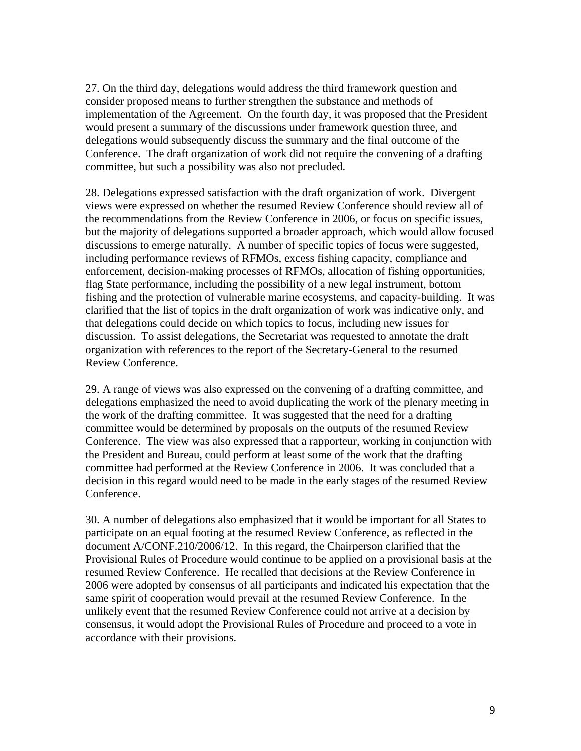27. On the third day, delegations would address the third framework question and consider proposed means to further strengthen the substance and methods of implementation of the Agreement. On the fourth day, it was proposed that the President would present a summary of the discussions under framework question three, and delegations would subsequently discuss the summary and the final outcome of the Conference. The draft organization of work did not require the convening of a drafting committee, but such a possibility was also not precluded.

28. Delegations expressed satisfaction with the draft organization of work. Divergent views were expressed on whether the resumed Review Conference should review all of the recommendations from the Review Conference in 2006, or focus on specific issues, but the majority of delegations supported a broader approach, which would allow focused discussions to emerge naturally. A number of specific topics of focus were suggested, including performance reviews of RFMOs, excess fishing capacity, compliance and enforcement, decision-making processes of RFMOs, allocation of fishing opportunities, flag State performance, including the possibility of a new legal instrument, bottom fishing and the protection of vulnerable marine ecosystems, and capacity-building. It was clarified that the list of topics in the draft organization of work was indicative only, and that delegations could decide on which topics to focus, including new issues for discussion. To assist delegations, the Secretariat was requested to annotate the draft organization with references to the report of the Secretary-General to the resumed Review Conference.

29. A range of views was also expressed on the convening of a drafting committee, and delegations emphasized the need to avoid duplicating the work of the plenary meeting in the work of the drafting committee. It was suggested that the need for a drafting committee would be determined by proposals on the outputs of the resumed Review Conference. The view was also expressed that a rapporteur, working in conjunction with the President and Bureau, could perform at least some of the work that the drafting committee had performed at the Review Conference in 2006. It was concluded that a decision in this regard would need to be made in the early stages of the resumed Review Conference.

30. A number of delegations also emphasized that it would be important for all States to participate on an equal footing at the resumed Review Conference, as reflected in the document A/CONF.210/2006/12. In this regard, the Chairperson clarified that the Provisional Rules of Procedure would continue to be applied on a provisional basis at the resumed Review Conference. He recalled that decisions at the Review Conference in 2006 were adopted by consensus of all participants and indicated his expectation that the same spirit of cooperation would prevail at the resumed Review Conference. In the unlikely event that the resumed Review Conference could not arrive at a decision by consensus, it would adopt the Provisional Rules of Procedure and proceed to a vote in accordance with their provisions.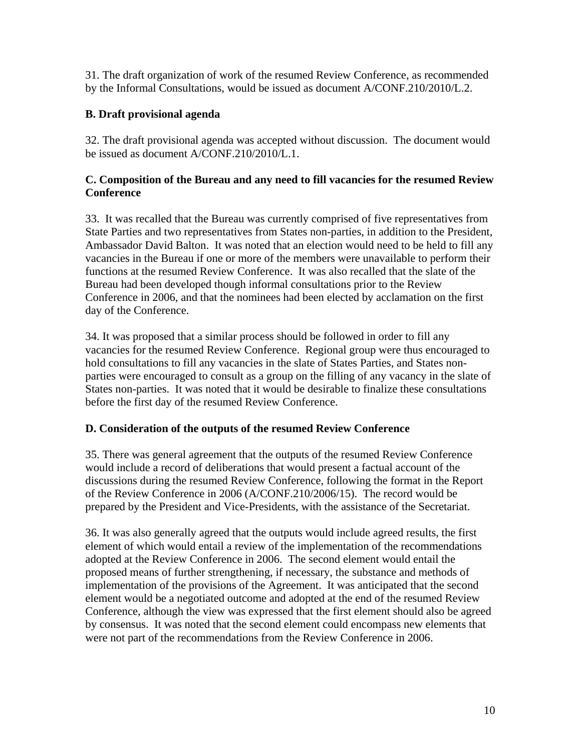31. The draft organization of work of the resumed Review Conference, as recommended by the Informal Consultations, would be issued as document A/CONF.210/2010/L.2.

### **B. Draft provisional agenda**

32. The draft provisional agenda was accepted without discussion. The document would be issued as document A/CONF.210/2010/L.1.

### **C. Composition of the Bureau and any need to fill vacancies for the resumed Review Conference**

33. It was recalled that the Bureau was currently comprised of five representatives from State Parties and two representatives from States non-parties, in addition to the President, Ambassador David Balton. It was noted that an election would need to be held to fill any vacancies in the Bureau if one or more of the members were unavailable to perform their functions at the resumed Review Conference. It was also recalled that the slate of the Bureau had been developed though informal consultations prior to the Review Conference in 2006, and that the nominees had been elected by acclamation on the first day of the Conference.

34. It was proposed that a similar process should be followed in order to fill any vacancies for the resumed Review Conference. Regional group were thus encouraged to hold consultations to fill any vacancies in the slate of States Parties, and States nonparties were encouraged to consult as a group on the filling of any vacancy in the slate of States non-parties. It was noted that it would be desirable to finalize these consultations before the first day of the resumed Review Conference.

### **D. Consideration of the outputs of the resumed Review Conference**

35. There was general agreement that the outputs of the resumed Review Conference would include a record of deliberations that would present a factual account of the discussions during the resumed Review Conference, following the format in the Report of the Review Conference in 2006 (A/CONF.210/2006/15). The record would be prepared by the President and Vice-Presidents, with the assistance of the Secretariat.

36. It was also generally agreed that the outputs would include agreed results, the first element of which would entail a review of the implementation of the recommendations adopted at the Review Conference in 2006. The second element would entail the proposed means of further strengthening, if necessary, the substance and methods of implementation of the provisions of the Agreement. It was anticipated that the second element would be a negotiated outcome and adopted at the end of the resumed Review Conference, although the view was expressed that the first element should also be agreed by consensus. It was noted that the second element could encompass new elements that were not part of the recommendations from the Review Conference in 2006.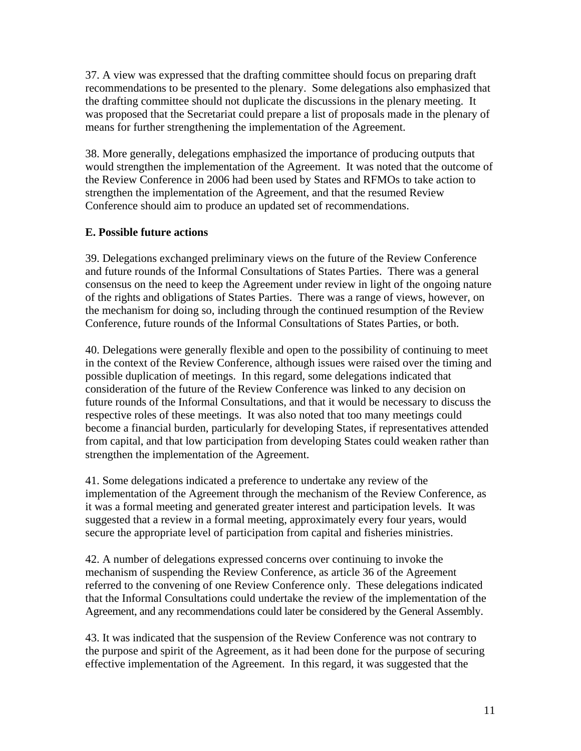37. A view was expressed that the drafting committee should focus on preparing draft recommendations to be presented to the plenary. Some delegations also emphasized that the drafting committee should not duplicate the discussions in the plenary meeting. It was proposed that the Secretariat could prepare a list of proposals made in the plenary of means for further strengthening the implementation of the Agreement.

38. More generally, delegations emphasized the importance of producing outputs that would strengthen the implementation of the Agreement. It was noted that the outcome of the Review Conference in 2006 had been used by States and RFMOs to take action to strengthen the implementation of the Agreement, and that the resumed Review Conference should aim to produce an updated set of recommendations.

### **E. Possible future actions**

39. Delegations exchanged preliminary views on the future of the Review Conference and future rounds of the Informal Consultations of States Parties. There was a general consensus on the need to keep the Agreement under review in light of the ongoing nature of the rights and obligations of States Parties. There was a range of views, however, on the mechanism for doing so, including through the continued resumption of the Review Conference, future rounds of the Informal Consultations of States Parties, or both.

40. Delegations were generally flexible and open to the possibility of continuing to meet in the context of the Review Conference, although issues were raised over the timing and possible duplication of meetings. In this regard, some delegations indicated that consideration of the future of the Review Conference was linked to any decision on future rounds of the Informal Consultations, and that it would be necessary to discuss the respective roles of these meetings. It was also noted that too many meetings could become a financial burden, particularly for developing States, if representatives attended from capital, and that low participation from developing States could weaken rather than strengthen the implementation of the Agreement.

41. Some delegations indicated a preference to undertake any review of the implementation of the Agreement through the mechanism of the Review Conference, as it was a formal meeting and generated greater interest and participation levels. It was suggested that a review in a formal meeting, approximately every four years, would secure the appropriate level of participation from capital and fisheries ministries.

42. A number of delegations expressed concerns over continuing to invoke the mechanism of suspending the Review Conference, as article 36 of the Agreement referred to the convening of one Review Conference only. These delegations indicated that the Informal Consultations could undertake the review of the implementation of the Agreement, and any recommendations could later be considered by the General Assembly.

43. It was indicated that the suspension of the Review Conference was not contrary to the purpose and spirit of the Agreement, as it had been done for the purpose of securing effective implementation of the Agreement. In this regard, it was suggested that the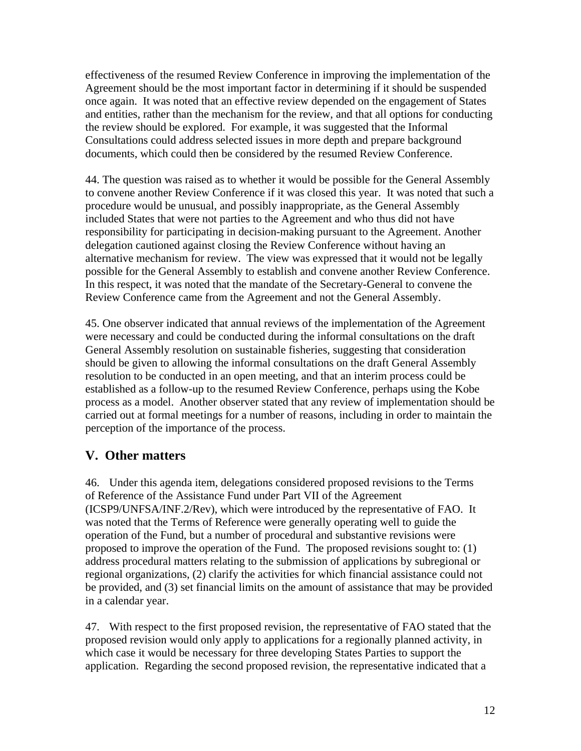effectiveness of the resumed Review Conference in improving the implementation of the Agreement should be the most important factor in determining if it should be suspended once again. It was noted that an effective review depended on the engagement of States and entities, rather than the mechanism for the review, and that all options for conducting the review should be explored. For example, it was suggested that the Informal Consultations could address selected issues in more depth and prepare background documents, which could then be considered by the resumed Review Conference.

44. The question was raised as to whether it would be possible for the General Assembly to convene another Review Conference if it was closed this year. It was noted that such a procedure would be unusual, and possibly inappropriate, as the General Assembly included States that were not parties to the Agreement and who thus did not have responsibility for participating in decision-making pursuant to the Agreement. Another delegation cautioned against closing the Review Conference without having an alternative mechanism for review. The view was expressed that it would not be legally possible for the General Assembly to establish and convene another Review Conference. In this respect, it was noted that the mandate of the Secretary-General to convene the Review Conference came from the Agreement and not the General Assembly.

45. One observer indicated that annual reviews of the implementation of the Agreement were necessary and could be conducted during the informal consultations on the draft General Assembly resolution on sustainable fisheries, suggesting that consideration should be given to allowing the informal consultations on the draft General Assembly resolution to be conducted in an open meeting, and that an interim process could be established as a follow-up to the resumed Review Conference, perhaps using the Kobe process as a model. Another observer stated that any review of implementation should be carried out at formal meetings for a number of reasons, including in order to maintain the perception of the importance of the process.

# **V. Other matters**

46. Under this agenda item, delegations considered proposed revisions to the Terms of Reference of the Assistance Fund under Part VII of the Agreement (ICSP9/UNFSA/INF.2/Rev), which were introduced by the representative of FAO. It was noted that the Terms of Reference were generally operating well to guide the operation of the Fund, but a number of procedural and substantive revisions were proposed to improve the operation of the Fund. The proposed revisions sought to: (1) address procedural matters relating to the submission of applications by subregional or regional organizations, (2) clarify the activities for which financial assistance could not be provided, and (3) set financial limits on the amount of assistance that may be provided in a calendar year.

47. With respect to the first proposed revision, the representative of FAO stated that the proposed revision would only apply to applications for a regionally planned activity, in which case it would be necessary for three developing States Parties to support the application. Regarding the second proposed revision, the representative indicated that a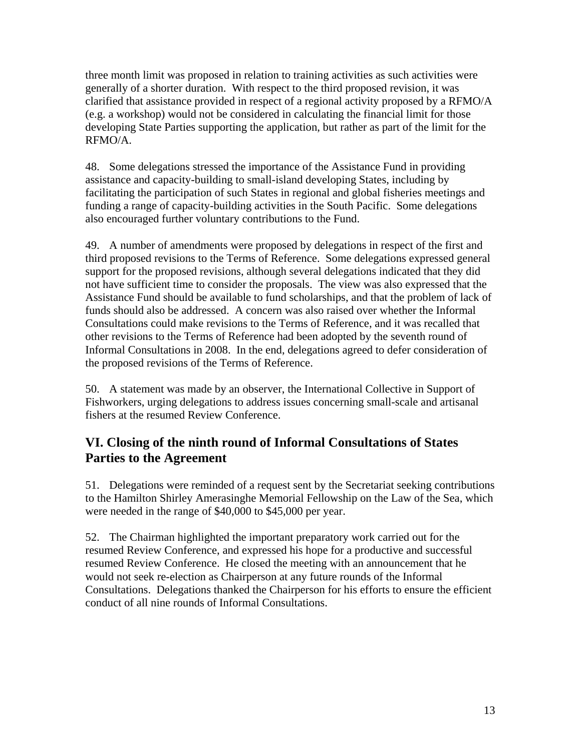three month limit was proposed in relation to training activities as such activities were generally of a shorter duration. With respect to the third proposed revision, it was clarified that assistance provided in respect of a regional activity proposed by a RFMO/A (e.g. a workshop) would not be considered in calculating the financial limit for those developing State Parties supporting the application, but rather as part of the limit for the RFMO/A.

48. Some delegations stressed the importance of the Assistance Fund in providing assistance and capacity-building to small-island developing States, including by facilitating the participation of such States in regional and global fisheries meetings and funding a range of capacity-building activities in the South Pacific. Some delegations also encouraged further voluntary contributions to the Fund.

49. A number of amendments were proposed by delegations in respect of the first and third proposed revisions to the Terms of Reference. Some delegations expressed general support for the proposed revisions, although several delegations indicated that they did not have sufficient time to consider the proposals. The view was also expressed that the Assistance Fund should be available to fund scholarships, and that the problem of lack of funds should also be addressed. A concern was also raised over whether the Informal Consultations could make revisions to the Terms of Reference, and it was recalled that other revisions to the Terms of Reference had been adopted by the seventh round of Informal Consultations in 2008. In the end, delegations agreed to defer consideration of the proposed revisions of the Terms of Reference.

50. A statement was made by an observer, the International Collective in Support of Fishworkers, urging delegations to address issues concerning small-scale and artisanal fishers at the resumed Review Conference.

### **VI. Closing of the ninth round of Informal Consultations of States Parties to the Agreement**

51. Delegations were reminded of a request sent by the Secretariat seeking contributions to the Hamilton Shirley Amerasinghe Memorial Fellowship on the Law of the Sea, which were needed in the range of \$40,000 to \$45,000 per year.

52. The Chairman highlighted the important preparatory work carried out for the resumed Review Conference, and expressed his hope for a productive and successful resumed Review Conference. He closed the meeting with an announcement that he would not seek re-election as Chairperson at any future rounds of the Informal Consultations. Delegations thanked the Chairperson for his efforts to ensure the efficient conduct of all nine rounds of Informal Consultations.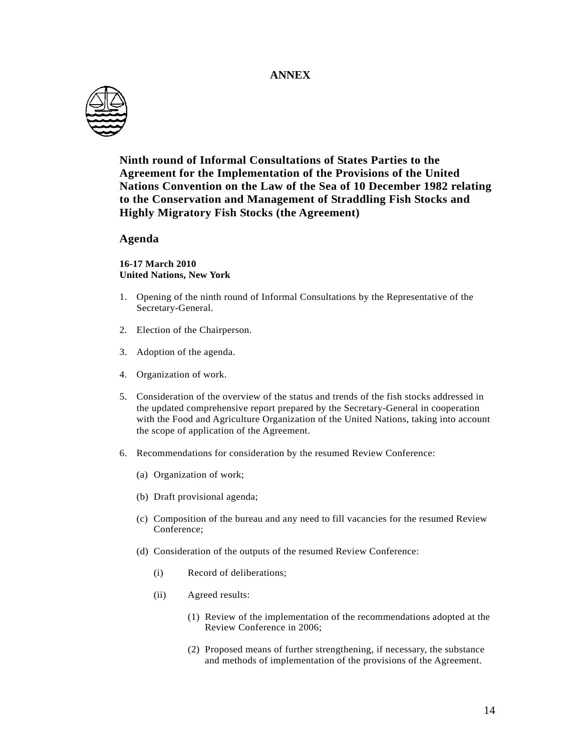#### **ANNEX**



**Ninth round of Informal Consultations of States Parties to the Agreement for the Implementation of the Provisions of the United Nations Convention on the Law of the Sea of 10 December 1982 relating to the Conservation and Management of Straddling Fish Stocks and Highly Migratory Fish Stocks (the Agreement)** 

#### **Agenda**

**16-17 March 2010 United Nations, New York** 

- 1. Opening of the ninth round of Informal Consultations by the Representative of the Secretary-General.
- 2. Election of the Chairperson.
- 3. Adoption of the agenda.
- 4. Organization of work.
- 5. Consideration of the overview of the status and trends of the fish stocks addressed in the updated comprehensive report prepared by the Secretary-General in cooperation with the Food and Agriculture Organization of the United Nations, taking into account the scope of application of the Agreement.
- 6. Recommendations for consideration by the resumed Review Conference:
	- (a) Organization of work;
	- (b) Draft provisional agenda;
	- (c) Composition of the bureau and any need to fill vacancies for the resumed Review Conference;
	- (d) Consideration of the outputs of the resumed Review Conference:
		- (i) Record of deliberations;
		- (ii) Agreed results:
			- (1) Review of the implementation of the recommendations adopted at the Review Conference in 2006;
			- (2) Proposed means of further strengthening, if necessary, the substance and methods of implementation of the provisions of the Agreement.